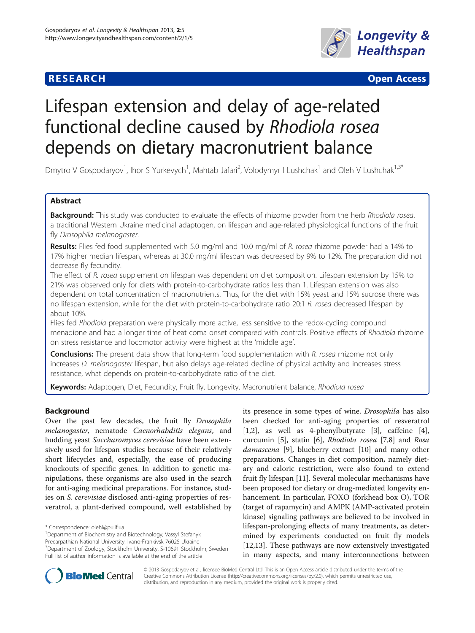# **RESEARCH CHE CHE Open Access**



# Lifespan extension and delay of age-related functional decline caused by Rhodiola rosea depends on dietary macronutrient balance

Dmytro V Gospodaryov<sup>1</sup>, Ihor S Yurkevych<sup>1</sup>, Mahtab Jafari<sup>2</sup>, Volodymyr I Lushchak<sup>1</sup> and Oleh V Lushchak<sup>1,3\*</sup>

# Abstract

Background: This study was conducted to evaluate the effects of rhizome powder from the herb Rhodiola rosea, a traditional Western Ukraine medicinal adaptogen, on lifespan and age-related physiological functions of the fruit fly Drosophila melanogaster.

Results: Flies fed food supplemented with 5.0 mg/ml and 10.0 mg/ml of R. rosea rhizome powder had a 14% to 17% higher median lifespan, whereas at 30.0 mg/ml lifespan was decreased by 9% to 12%. The preparation did not decrease fly fecundity.

The effect of R. rosea supplement on lifespan was dependent on diet composition. Lifespan extension by 15% to 21% was observed only for diets with protein-to-carbohydrate ratios less than 1. Lifespan extension was also dependent on total concentration of macronutrients. Thus, for the diet with 15% yeast and 15% sucrose there was no lifespan extension, while for the diet with protein-to-carbohydrate ratio 20:1 R. rosea decreased lifespan by about 10%.

Flies fed Rhodiola preparation were physically more active, less sensitive to the redox-cycling compound menadione and had a longer time of heat coma onset compared with controls. Positive effects of Rhodiola rhizome on stress resistance and locomotor activity were highest at the 'middle age'.

**Conclusions:** The present data show that long-term food supplementation with R. rosea rhizome not only increases D. melanogaster lifespan, but also delays age-related decline of physical activity and increases stress resistance, what depends on protein-to-carbohydrate ratio of the diet.

Keywords: Adaptogen, Diet, Fecundity, Fruit fly, Longevity, Macronutrient balance, Rhodiola rosea

# Background

Over the past few decades, the fruit fly Drosophila melanogaster, nematode Caenorhabditis elegans, and budding yeast Saccharomyces cerevisiae have been extensively used for lifespan studies because of their relatively short lifecycles and, especially, the ease of producing knockouts of specific genes. In addition to genetic manipulations, these organisms are also used in the search for anti-aging medicinal preparations. For instance, studies on S. cerevisiae disclosed anti-aging properties of resveratrol, a plant-derived compound, well established by

its presence in some types of wine. Drosophila has also been checked for anti-aging properties of resveratrol [[1,2\]](#page-12-0), as well as 4-phenylbutyrate [[3](#page-12-0)], caffeine [\[4](#page-12-0)], curcumin [[5](#page-12-0)], statin [\[6](#page-12-0)], Rhodiola rosea [\[7](#page-12-0),[8](#page-12-0)] and Rosa damascena [[9](#page-12-0)], blueberry extract [[10](#page-12-0)] and many other preparations. Changes in diet composition, namely dietary and caloric restriction, were also found to extend fruit fly lifespan [\[11](#page-12-0)]. Several molecular mechanisms have been proposed for dietary or drug-mediated longevity enhancement. In particular, FOXO (forkhead box O), TOR (target of rapamycin) and AMPK (AMP-activated protein kinase) signaling pathways are believed to be involved in lifespan-prolonging effects of many treatments, as determined by experiments conducted on fruit fly models [[12,13\]](#page-12-0). These pathways are now extensively investigated in many aspects, and many interconnections between



© 2013 Gospodaryov et al.; licensee BioMed Central Ltd. This is an Open Access article distributed under the terms of the Creative Commons Attribution License (<http://creativecommons.org/licenses/by/2.0>), which permits unrestricted use, distribution, and reproduction in any medium, provided the original work is properly cited.

<sup>\*</sup> Correspondence: [olehl@pu.if.ua](mailto:olehl@pu.if.ua) <sup>1</sup>

Department of Biochemistry and Biotechnology, Vassyl Stefanyk

Precarpathian National University, Ivano-Frankivsk 76025 Ukraine

<sup>&</sup>lt;sup>3</sup>Department of Zoology, Stockholm University, S-10691 Stockholm, Sweden Full list of author information is available at the end of the article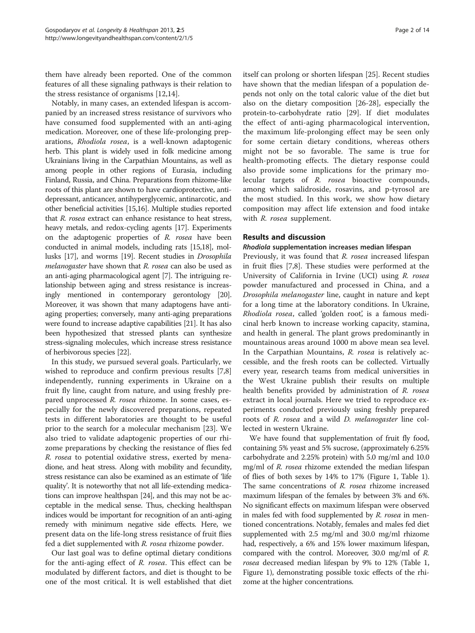them have already been reported. One of the common features of all these signaling pathways is their relation to the stress resistance of organisms [\[12,14\]](#page-12-0).

Notably, in many cases, an extended lifespan is accompanied by an increased stress resistance of survivors who have consumed food supplemented with an anti-aging medication. Moreover, one of these life-prolonging preparations, Rhodiola rosea, is a well-known adaptogenic herb. This plant is widely used in folk medicine among Ukrainians living in the Carpathian Mountains, as well as among people in other regions of Eurasia, including Finland, Russia, and China. Preparations from rhizome-like roots of this plant are shown to have cardioprotective, antidepressant, anticancer, antihyperglycemic, antinarcotic, and other beneficial activities [[15,16\]](#page-12-0). Multiple studies reported that R. rosea extract can enhance resistance to heat stress, heavy metals, and redox-cycling agents [\[17\]](#page-12-0). Experiments on the adaptogenic properties of R. rosea have been conducted in animal models, including rats [[15,18](#page-12-0)], mollusks [\[17\]](#page-12-0), and worms [[19](#page-12-0)]. Recent studies in Drosophila melanogaster have shown that R. rosea can also be used as an anti-aging pharmacological agent [\[7](#page-12-0)]. The intriguing relationship between aging and stress resistance is increasingly mentioned in contemporary gerontology [\[20](#page-12-0)]. Moreover, it was shown that many adaptogens have antiaging properties; conversely, many anti-aging preparations were found to increase adaptive capabilities [\[21\]](#page-12-0). It has also been hypothesized that stressed plants can synthesize stress-signaling molecules, which increase stress resistance of herbivorous species [\[22](#page-12-0)].

In this study, we pursued several goals. Particularly, we wished to reproduce and confirm previous results [\[7,8](#page-12-0)] independently, running experiments in Ukraine on a fruit fly line, caught from nature, and using freshly prepared unprocessed R. rosea rhizome. In some cases, especially for the newly discovered preparations, repeated tests in different laboratories are thought to be useful prior to the search for a molecular mechanism [[23\]](#page-12-0). We also tried to validate adaptogenic properties of our rhizome preparations by checking the resistance of flies fed R. rosea to potential oxidative stress, exerted by menadione, and heat stress. Along with mobility and fecundity, stress resistance can also be examined as an estimate of 'life quality'. It is noteworthy that not all life-extending medications can improve healthspan [\[24](#page-12-0)], and this may not be acceptable in the medical sense. Thus, checking healthspan indices would be important for recognition of an anti-aging remedy with minimum negative side effects. Here, we present data on the life-long stress resistance of fruit flies fed a diet supplemented with R. rosea rhizome powder.

Our last goal was to define optimal dietary conditions for the anti-aging effect of R. rosea. This effect can be modulated by different factors, and diet is thought to be one of the most critical. It is well established that diet itself can prolong or shorten lifespan [\[25](#page-12-0)]. Recent studies have shown that the median lifespan of a population depends not only on the total caloric value of the diet but also on the dietary composition [[26-28](#page-12-0)], especially the protein-to-carbohydrate ratio [[29\]](#page-12-0). If diet modulates the effect of anti-aging pharmacological intervention, the maximum life-prolonging effect may be seen only for some certain dietary conditions, whereas others might not be so favorable. The same is true for health-promoting effects. The dietary response could also provide some implications for the primary molecular targets of R. rosea bioactive compounds, among which salidroside, rosavins, and p-tyrosol are the most studied. In this work, we show how dietary composition may affect life extension and food intake with R. rosea supplement.

# Results and discussion

### Rhodiola supplementation increases median lifespan

Previously, it was found that R. rosea increased lifespan in fruit flies [[7,8\]](#page-12-0). These studies were performed at the University of California in Irvine (UCI) using R. rosea powder manufactured and processed in China, and a Drosophila melanogaster line, caught in nature and kept for a long time at the laboratory conditions. In Ukraine, Rhodiola rosea, called 'golden root', is a famous medicinal herb known to increase working capacity, stamina, and health in general. The plant grows predominantly in mountainous areas around 1000 m above mean sea level. In the Carpathian Mountains, R. rosea is relatively accessible, and the fresh roots can be collected. Virtually every year, research teams from medical universities in the West Ukraine publish their results on multiple health benefits provided by administration of R. rosea extract in local journals. Here we tried to reproduce experiments conducted previously using freshly prepared roots of R. rosea and a wild D. melanogaster line collected in western Ukraine.

We have found that supplementation of fruit fly food, containing 5% yeast and 5% sucrose, (approximately 6.25% carbohydrate and 2.25% protein) with 5.0 mg/ml and 10.0 mg/ml of R. rosea rhizome extended the median lifespan of flies of both sexes by 14% to 17% (Figure [1,](#page-2-0) Table [1](#page-2-0)). The same concentrations of R. rosea rhizome increased maximum lifespan of the females by between 3% and 6%. No significant effects on maximum lifespan were observed in males fed with food supplemented by R. rosea in mentioned concentrations. Notably, females and males fed diet supplemented with 2.5 mg/ml and 30.0 mg/ml rhizome had, respectively, a 6% and 15% lower maximum lifespan, compared with the control. Moreover, 30.0 mg/ml of R. rosea decreased median lifespan by 9% to 12% (Table [1](#page-2-0), Figure [1](#page-2-0)), demonstrating possible toxic effects of the rhizome at the higher concentrations.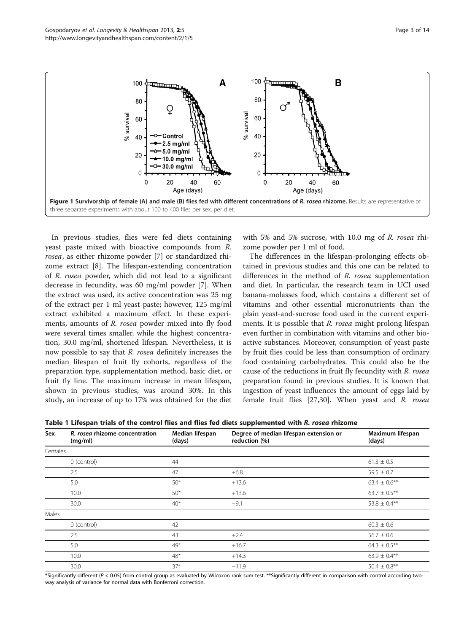<span id="page-2-0"></span>

In previous studies, flies were fed diets containing yeast paste mixed with bioactive compounds from R. rosea, as either rhizome powder [\[7](#page-12-0)] or standardized rhizome extract [[8\]](#page-12-0). The lifespan-extending concentration of R. rosea powder, which did not lead to a significant decrease in fecundity, was 60 mg/ml powder [[7](#page-12-0)]. When the extract was used, its active concentration was 25 mg of the extract per 1 ml yeast paste; however, 125 mg/ml extract exhibited a maximum effect. In these experiments, amounts of R. rosea powder mixed into fly food were several times smaller, while the highest concentration, 30.0 mg/ml, shortened lifespan. Nevertheless, it is now possible to say that R. rosea definitely increases the median lifespan of fruit fly cohorts, regardless of the preparation type, supplementation method, basic diet, or fruit fly line. The maximum increase in mean lifespan, shown in previous studies, was around 30%. In this study, an increase of up to 17% was obtained for the diet with 5% and 5% sucrose, with 10.0 mg of R. rosea rhizome powder per 1 ml of food.

The differences in the lifespan-prolonging effects obtained in previous studies and this one can be related to differences in the method of R. rosea supplementation and diet. In particular, the research team in UCI used banana-molasses food, which contains a different set of vitamins and other essential micronutrients than the plain yeast-and-sucrose food used in the current experiments. It is possible that R. rosea might prolong lifespan even further in combination with vitamins and other bioactive substances. Moreover, consumption of yeast paste by fruit flies could be less than consumption of ordinary food containing carbohydrates. This could also be the cause of the reductions in fruit fly fecundity with R. rosea preparation found in previous studies. It is known that ingestion of yeast influences the amount of eggs laid by female fruit flies [[27,30](#page-12-0)]. When yeast and R. rosea

|  |  |  |  |  |  |  |  |  |  | Table 1 Lifespan trials of the control flies and flies fed diets supplemented with <i>R. rosea</i> rhizome |  |  |  |
|--|--|--|--|--|--|--|--|--|--|------------------------------------------------------------------------------------------------------------|--|--|--|
|--|--|--|--|--|--|--|--|--|--|------------------------------------------------------------------------------------------------------------|--|--|--|

| Sex     | R. rosea rhizome concentration<br>(mg/ml) | Median lifespan<br>(days) | Degree of median lifespan extension or<br>reduction (%) | Maximum lifespan<br>(days) |
|---------|-------------------------------------------|---------------------------|---------------------------------------------------------|----------------------------|
| Females |                                           |                           |                                                         |                            |
|         | 0 (control)                               | 44                        |                                                         | $61.3 \pm 0.5$             |
|         | 2.5                                       | 47                        | $+6.8$                                                  | $59.5 \pm 0.7$             |
|         | 5.0                                       | $50*$                     | $+13.6$                                                 | $63.4 \pm 0.6***$          |
|         | 10.0                                      | $50*$                     | $+13.6$                                                 | $63.7 \pm 0.5***$          |
|         | 30.0                                      | $40*$                     | $-9.1$                                                  | 53.8 $\pm$ 0.4**           |
| Males   |                                           |                           |                                                         |                            |
|         | 0 (control)                               | 42                        |                                                         | $60.3 \pm 0.6$             |
|         | 2.5                                       | 43                        | $+2.4$                                                  | $56.7 \pm 0.6$             |
|         | 5.0                                       | 49*                       | $+16.7$                                                 | $64.3 \pm 0.5***$          |
|         | 10.0                                      | $48*$                     | $+14.3$                                                 | $63.9 \pm 0.4***$          |
|         | 30.0                                      | $37*$                     | $-11.9$                                                 | $50.4 \pm 0.8***$          |

\*Significantly different (P < 0.05) from control group as evaluated by Wilcoxon rank sum test. \*\*Significantly different in comparison with control according twoway analysis of variance for normal data with Bonferroni correction.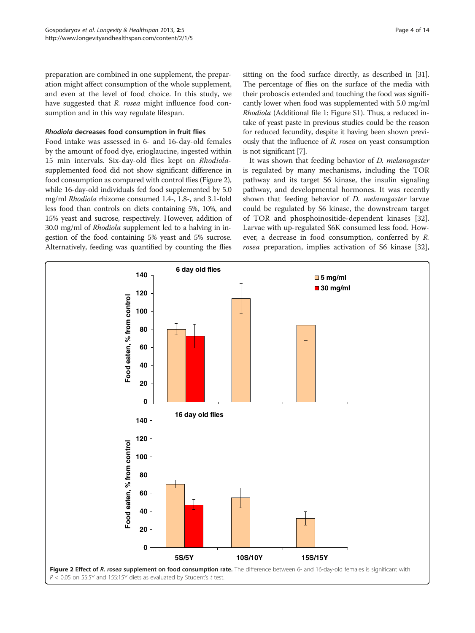preparation are combined in one supplement, the preparation might affect consumption of the whole supplement, and even at the level of food choice. In this study, we have suggested that R. rosea might influence food consumption and in this way regulate lifespan.

### Rhodiola decreases food consumption in fruit flies

Food intake was assessed in 6- and 16-day-old females by the amount of food dye, erioglaucine, ingested within 15 min intervals. Six-day-old flies kept on Rhodiolasupplemented food did not show significant difference in food consumption as compared with control flies (Figure 2), while 16-day-old individuals fed food supplemented by 5.0 mg/ml Rhodiola rhizome consumed 1.4-, 1.8-, and 3.1-fold less food than controls on diets containing 5%, 10%, and 15% yeast and sucrose, respectively. However, addition of 30.0 mg/ml of Rhodiola supplement led to a halving in ingestion of the food containing 5% yeast and 5% sucrose. Alternatively, feeding was quantified by counting the flies

sitting on the food surface directly, as described in [\[31](#page-12-0)]. The percentage of flies on the surface of the media with their proboscis extended and touching the food was significantly lower when food was supplemented with 5.0 mg/ml Rhodiola (Additional file [1:](#page-11-0) Figure S1). Thus, a reduced intake of yeast paste in previous studies could be the reason for reduced fecundity, despite it having been shown previously that the influence of R. rosea on yeast consumption is not significant [\[7\]](#page-12-0).

It was shown that feeding behavior of D. melanogaster is regulated by many mechanisms, including the TOR pathway and its target S6 kinase, the insulin signaling pathway, and developmental hormones. It was recently shown that feeding behavior of *D. melanogaster* larvae could be regulated by S6 kinase, the downstream target of TOR and phosphoinositide-dependent kinases [\[32](#page-12-0)]. Larvae with up-regulated S6K consumed less food. However, a decrease in food consumption, conferred by R. rosea preparation, implies activation of S6 kinase [\[32](#page-12-0)],

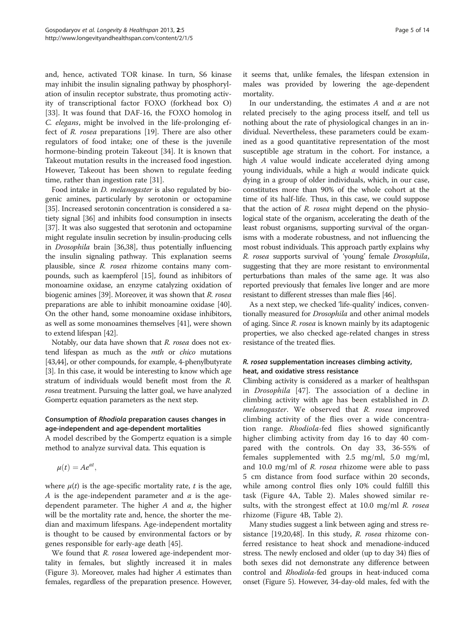and, hence, activated TOR kinase. In turn, S6 kinase may inhibit the insulin signaling pathway by phosphorylation of insulin receptor substrate, thus promoting activity of transcriptional factor FOXO (forkhead box O) [[33\]](#page-12-0). It was found that DAF-16, the FOXO homolog in C. elegans, might be involved in the life-prolonging effect of R. rosea preparations [\[19\]](#page-12-0). There are also other regulators of food intake; one of these is the juvenile hormone-binding protein Takeout [[34\]](#page-12-0). It is known that Takeout mutation results in the increased food ingestion. However, Takeout has been shown to regulate feeding time, rather than ingestion rate [[31\]](#page-12-0).

Food intake in D. melanogaster is also regulated by biogenic amines, particularly by serotonin or octopamine [[35](#page-12-0)]. Increased serotonin concentration is considered a satiety signal [[36](#page-12-0)] and inhibits food consumption in insects [[37](#page-12-0)]. It was also suggested that serotonin and octopamine might regulate insulin secretion by insulin-producing cells in Drosophila brain [\[36,38](#page-12-0)], thus potentially influencing the insulin signaling pathway. This explanation seems plausible, since R. rosea rhizome contains many compounds, such as kaempferol [\[15](#page-12-0)], found as inhibitors of monoamine oxidase, an enzyme catalyzing oxidation of biogenic amines [[39](#page-12-0)]. Moreover, it was shown that R. rosea preparations are able to inhibit monoamine oxidase [[40](#page-12-0)]. On the other hand, some monoamine oxidase inhibitors, as well as some monoamines themselves [\[41\]](#page-12-0), were shown to extend lifespan [\[42\]](#page-12-0).

Notably, our data have shown that R. rosea does not extend lifespan as much as the mth or chico mutations [[43](#page-12-0)[,44\]](#page-13-0), or other compounds, for example, 4-phenylbutyrate [[3\]](#page-12-0). In this case, it would be interesting to know which age stratum of individuals would benefit most from the R. rosea treatment. Pursuing the latter goal, we have analyzed Gompertz equation parameters as the next step.

# Consumption of Rhodiola preparation causes changes in age-independent and age-dependent mortalities

A model described by the Gompertz equation is a simple method to analyze survival data. This equation is

$$
\mu(t)=Ae^{\alpha t},
$$

where  $\mu(t)$  is the age-specific mortality rate, t is the age, A is the age-independent parameter and  $\alpha$  is the agedependent parameter. The higher  $A$  and  $\alpha$ , the higher will be the mortality rate and, hence, the shorter the median and maximum lifespans. Age-independent mortality is thought to be caused by environmental factors or by genes responsible for early-age death [[45\]](#page-13-0).

We found that *R. rosea* lowered age-independent mortality in females, but slightly increased it in males (Figure [3\)](#page-5-0). Moreover, males had higher A estimates than females, regardless of the preparation presence. However, it seems that, unlike females, the lifespan extension in males was provided by lowering the age-dependent mortality.

In our understanding, the estimates  $A$  and  $\alpha$  are not related precisely to the aging process itself, and tell us nothing about the rate of physiological changes in an individual. Nevertheless, these parameters could be examined as a good quantitative representation of the most susceptible age stratum in the cohort. For instance, a high A value would indicate accelerated dying among young individuals, while a high  $\alpha$  would indicate quick dying in a group of older individuals, which, in our case, constitutes more than 90% of the whole cohort at the time of its half-life. Thus, in this case, we could suppose that the action of R. rosea might depend on the physiological state of the organism, accelerating the death of the least robust organisms, supporting survival of the organisms with a moderate robustness, and not influencing the most robust individuals. This approach partly explains why R. rosea supports survival of 'young' female Drosophila, suggesting that they are more resistant to environmental perturbations than males of the same age. It was also reported previously that females live longer and are more resistant to different stresses than male flies [\[46\]](#page-13-0).

As a next step, we checked 'life-quality' indices, conventionally measured for *Drosophila* and other animal models of aging. Since R. rosea is known mainly by its adaptogenic properties, we also checked age-related changes in stress resistance of the treated flies.

# R. rosea supplementation increases climbing activity, heat, and oxidative stress resistance

Climbing activity is considered as a marker of healthspan in Drosophila [[47\]](#page-13-0). The association of a decline in climbing activity with age has been established in D. melanogaster. We observed that R. rosea improved climbing activity of the flies over a wide concentration range. Rhodiola-fed flies showed significantly higher climbing activity from day 16 to day 40 compared with the controls. On day 33, 36-55% of females supplemented with 2.5 mg/ml, 5.0 mg/ml, and 10.0 mg/ml of R. rosea rhizome were able to pass 5 cm distance from food surface within 20 seconds, while among control flies only 10% could fulfill this task (Figure [4](#page-5-0)A, Table [2\)](#page-6-0). Males showed similar results, with the strongest effect at  $10.0$  mg/ml R. rosea rhizome (Figure [4](#page-5-0)B, Table [2](#page-6-0)).

Many studies suggest a link between aging and stress resistance [\[19,20,](#page-12-0)[48](#page-13-0)]. In this study, R. rosea rhizome conferred resistance to heat shock and menadione-induced stress. The newly enclosed and older (up to day 34) flies of both sexes did not demonstrate any difference between control and Rhodiola-fed groups in heat-induced coma onset (Figure [5\)](#page-6-0). However, 34-day-old males, fed with the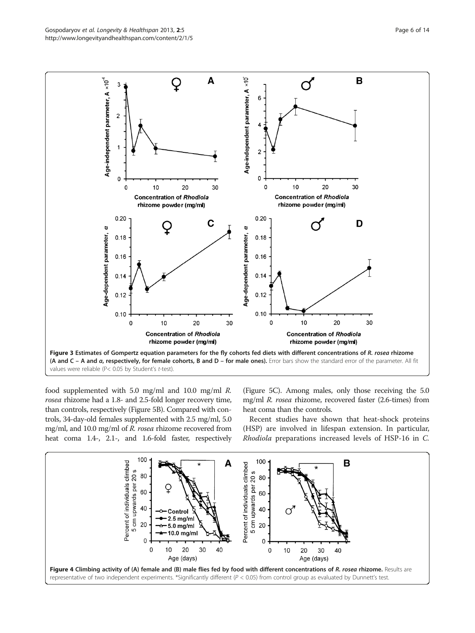<span id="page-5-0"></span>

values were reliable (P< 0.05 by Student's t-test).

food supplemented with 5.0 mg/ml and 10.0 mg/ml R. rosea rhizome had a 1.8- and 2.5-fold longer recovery time, than controls, respectively (Figure [5B](#page-6-0)). Compared with controls, 34-day-old females supplemented with 2.5 mg/ml, 5.0 mg/ml, and 10.0 mg/ml of R. rosea rhizome recovered from heat coma 1.4-, 2.1-, and 1.6-fold faster, respectively

(Figure [5C](#page-6-0)). Among males, only those receiving the 5.0 mg/ml R. rosea rhizome, recovered faster (2.6-times) from heat coma than the controls.

Recent studies have shown that heat-shock proteins (HSP) are involved in lifespan extension. In particular, Rhodiola preparations increased levels of HSP-16 in C.

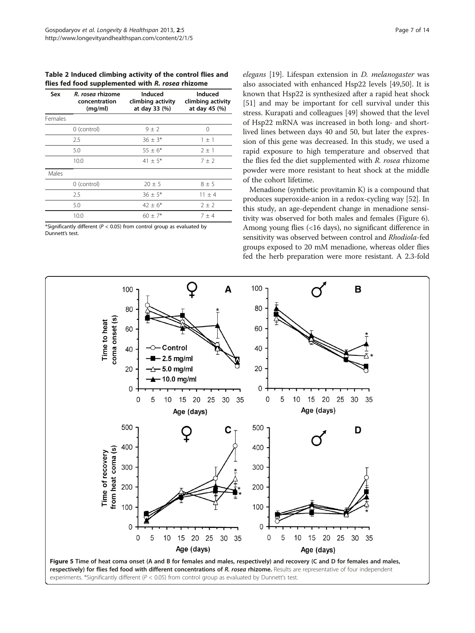<span id="page-6-0"></span>Table 2 Induced climbing activity of the control flies and flies fed food supplemented with R. rosea rhizome

| Sex     | R. rosea rhizome<br>concentration<br>(mq/ml) | Induced<br>climbing activity<br>at day 33 (%) | Induced<br>climbing activity<br>at day 45 (%) |
|---------|----------------------------------------------|-----------------------------------------------|-----------------------------------------------|
| Females |                                              |                                               |                                               |
|         | 0 (control)                                  | $9 \pm 2$                                     | ∩                                             |
|         | 2.5                                          | $36 \pm 3*$                                   | $1 \pm 1$                                     |
|         | 5.0                                          | $55 + 6*$                                     | $2 + 1$                                       |
|         | 10.0                                         | $41 + 5*$                                     | $7 + 2$                                       |
| Males   |                                              |                                               |                                               |
|         | 0 (control)                                  | $20 + 5$                                      | $8 + 5$                                       |
|         | 2.5                                          | $36 \pm 5*$                                   | $11 \pm 4$                                    |
|         | 5.0                                          | $42 + 6*$                                     | $2 + 2$                                       |
|         | 10.0                                         | $60 + 7*$                                     | $7 + 4$                                       |

\*Significantly different ( $P < 0.05$ ) from control group as evaluated by Dunnett's test.

elegans [[19\]](#page-12-0). Lifespan extension in D. melanogaster was also associated with enhanced Hsp22 levels [[49,50](#page-13-0)]. It is known that Hsp22 is synthesized after a rapid heat shock [[51\]](#page-13-0) and may be important for cell survival under this stress. Kurapati and colleagues [\[49\]](#page-13-0) showed that the level of Hsp22 mRNA was increased in both long- and shortlived lines between days 40 and 50, but later the expression of this gene was decreased. In this study, we used a rapid exposure to high temperature and observed that the flies fed the diet supplemented with R. rosea rhizome powder were more resistant to heat shock at the middle of the cohort lifetime.

Menadione (synthetic provitamin K) is a compound that produces superoxide-anion in a redox-cycling way [\[52\]](#page-13-0). In this study, an age-dependent change in menadione sensitivity was observed for both males and females (Figure [6](#page-7-0)). Among young flies (<16 days), no significant difference in sensitivity was observed between control and Rhodiola-fed groups exposed to 20 mM menadione, whereas older flies fed the herb preparation were more resistant. A 2.3-fold

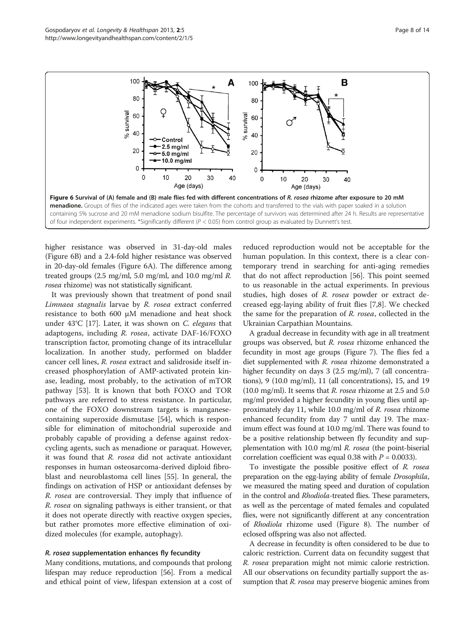<span id="page-7-0"></span>

higher resistance was observed in 31-day-old males (Figure 6B) and a 2.4-fold higher resistance was observed in 20-day-old females (Figure 6A). The difference among treated groups (2.5 mg/ml, 5.0 mg/ml, and 10.0 mg/ml R. rosea rhizome) was not statistically significant.

It was previously shown that treatment of pond snail Limnaea stagnalis larvae by R. rosea extract conferred resistance to both 600 μM menadione and heat shock under 43°C [[17](#page-12-0)]. Later, it was shown on C. elegans that adaptogens, including R. rosea, activate DAF-16/FOXO transcription factor, promoting change of its intracellular localization. In another study, performed on bladder cancer cell lines, R. rosea extract and salidroside itself increased phosphorylation of AMP-activated protein kinase, leading, most probably, to the activation of mTOR pathway [[53](#page-13-0)]. It is known that both FOXO and TOR pathways are referred to stress resistance. In particular, one of the FOXO downstream targets is manganesecontaining superoxide dismutase [[54\]](#page-13-0), which is responsible for elimination of mitochondrial superoxide and probably capable of providing a defense against redoxcycling agents, such as menadione or paraquat. However, it was found that R. rosea did not activate antioxidant responses in human osteosarcoma-derived diploid fibroblast and neuroblastoma cell lines [\[55\]](#page-13-0). In general, the findings on activation of HSP or antioxidant defenses by R. rosea are controversial. They imply that influence of R. rosea on signaling pathways is either transient, or that it does not operate directly with reactive oxygen species, but rather promotes more effective elimination of oxidized molecules (for example, autophagy).

#### R. rosea supplementation enhances fly fecundity

Many conditions, mutations, and compounds that prolong lifespan may reduce reproduction [[56](#page-13-0)]. From a medical and ethical point of view, lifespan extension at a cost of reduced reproduction would not be acceptable for the human population. In this context, there is a clear contemporary trend in searching for anti-aging remedies that do not affect reproduction [\[56\]](#page-13-0). This point seemed to us reasonable in the actual experiments. In previous studies, high doses of R. rosea powder or extract decreased egg-laying ability of fruit flies [[7,8\]](#page-12-0). We checked the same for the preparation of R. rosea, collected in the Ukrainian Carpathian Mountains.

A gradual decrease in fecundity with age in all treatment groups was observed, but R. rosea rhizome enhanced the fecundity in most age groups (Figure [7](#page-8-0)). The flies fed a diet supplemented with R. rosea rhizome demonstrated a higher fecundity on days 3 (2.5 mg/ml), 7 (all concentrations), 9 (10.0 mg/ml), 11 (all concentrations), 15, and 19 (10.0 mg/ml). It seems that  $R$ . rosea rhizome at 2.5 and 5.0 mg/ml provided a higher fecundity in young flies until approximately day 11, while 10.0 mg/ml of R. rosea rhizome enhanced fecundity from day 7 until day 19. The maximum effect was found at 10.0 mg/ml. There was found to be a positive relationship between fly fecundity and supplementation with 10.0 mg/ml R. rosea (the point-biserial correlation coefficient was equal 0.38 with  $P = 0.0033$ ).

To investigate the possible positive effect of R. rosea preparation on the egg-laying ability of female Drosophila, we measured the mating speed and duration of copulation in the control and *Rhodiola*-treated flies. These parameters, as well as the percentage of mated females and copulated flies, were not significantly different at any concentration of Rhodiola rhizome used (Figure [8](#page-9-0)). The number of eclosed offspring was also not affected.

A decrease in fecundity is often considered to be due to caloric restriction. Current data on fecundity suggest that R. rosea preparation might not mimic calorie restriction. All our observations on fecundity partially support the assumption that R. rosea may preserve biogenic amines from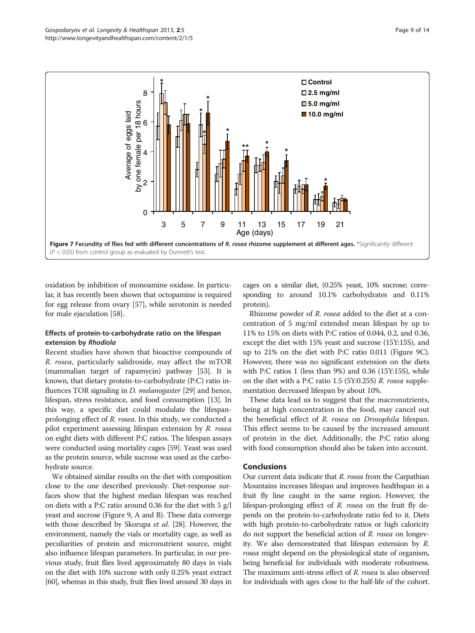<span id="page-8-0"></span>

oxidation by inhibition of monoamine oxidase. In particular, it has recently been shown that octopamine is required for egg release from ovary [\[57\]](#page-13-0), while serotonin is needed for male ejaculation [\[58\]](#page-13-0).

# Effects of protein-to-carbohydrate ratio on the lifespan extension by Rhodiola

Recent studies have shown that bioactive compounds of R. rosea, particularly salidroside, may affect the mTOR (mammalian target of rapamycin) pathway [[53](#page-13-0)]. It is known, that dietary protein-to-carbohydrate (P:C) ratio influences TOR signaling in *D. melanogaster* [\[29\]](#page-12-0) and hence, lifespan, stress resistance, and food consumption [\[13](#page-12-0)]. In this way, a specific diet could modulate the lifespanprolonging effect of R. rosea. In this study, we conducted a pilot experiment assessing lifespan extension by R. rosea on eight diets with different P:C ratios. The lifespan assays were conducted using mortality cages [[59\]](#page-13-0). Yeast was used as the protein source, while sucrose was used as the carbohydrate source.

We obtained similar results on the diet with composition close to the one described previously. Diet-response surfaces show that the highest median lifespan was reached on diets with a P:C ratio around 0.36 for the diet with 5 g/l yeast and sucrose (Figure [9](#page-10-0), A and B). These data converge with those described by Skorupa et al. [\[28\]](#page-12-0). However, the environment, namely the vials or mortality cage, as well as peculiarities of protein and micronutrient source, might also influence lifespan parameters. In particular, in our previous study, fruit flies lived approximately 80 days in vials on the diet with 10% sucrose with only 0.25% yeast extract [[60](#page-13-0)], whereas in this study, fruit flies lived around 30 days in cages on a similar diet, (0.25% yeast, 10% sucrose; corresponding to around 10.1% carbohydrates and 0.11% protein).

Rhizome powder of R. rosea added to the diet at a concentration of 5 mg/ml extended mean lifespan by up to 11% to 15% on diets with P:C ratios of 0.044, 0.2, and 0.36, except the diet with 15% yeast and sucrose (15Y:15S), and up to 21% on the diet with P:C ratio 0.011 (Figure [9C](#page-10-0)). However, there was no significant extension on the diets with P:C ratios 1 (less than 9%) and 0.36 (15Y:15S), while on the diet with a P:C ratio 1.5 (5Y:0.25S) R. rosea supplementation decreased lifespan by about 10%.

These data lead us to suggest that the macronutrients, being at high concentration in the food, may cancel out the beneficial effect of R. rosea on Drosophila lifespan. This effect seems to be caused by the increased amount of protein in the diet. Additionally, the P:C ratio along with food consumption should also be taken into account.

# Conclusions

Our current data indicate that R. rosea from the Carpathian Mountains increases lifespan and improves healthspan in a fruit fly line caught in the same region. However, the lifespan-prolonging effect of R. rosea on the fruit fly depends on the protein-to-carbohydrate ratio fed to it. Diets with high protein-to-carbohydrate ratios or high caloricity do not support the beneficial action of R. rosea on longevity. We also demonstrated that lifespan extension by R. rosea might depend on the physiological state of organism, being beneficial for individuals with moderate robustness. The maximum anti-stress effect of R. rosea is also observed for individuals with ages close to the half-life of the cohort.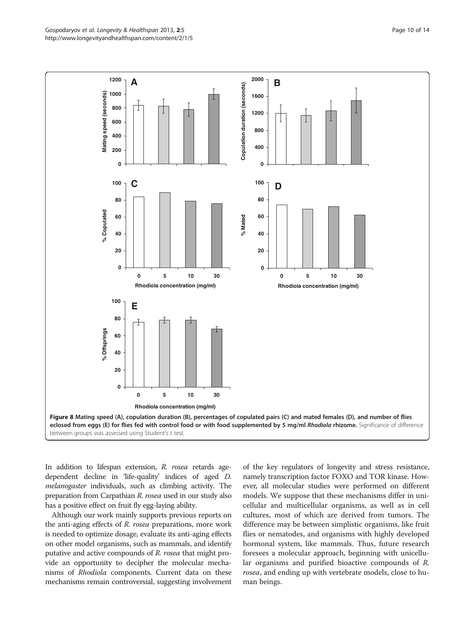<span id="page-9-0"></span>

In addition to lifespan extension, R. rosea retards agedependent decline in 'life-quality' indices of aged D. melanogaster individuals, such as climbing activity. The preparation from Carpathian R. rosea used in our study also has a positive effect on fruit fly egg-laying ability.

Although our work mainly supports previous reports on the anti-aging effects of R. rosea preparations, more work is needed to optimize dosage, evaluate its anti-aging effects on other model organisms, such as mammals, and identify putative and active compounds of R. rosea that might provide an opportunity to decipher the molecular mechanisms of Rhodiola components. Current data on these mechanisms remain controversial, suggesting involvement

of the key regulators of longevity and stress resistance, namely transcription factor FOXO and TOR kinase. However, all molecular studies were performed on different models. We suppose that these mechanisms differ in unicellular and multicellular organisms, as well as in cell cultures, most of which are derived from tumors. The difference may be between simplistic organisms, like fruit flies or nematodes, and organisms with highly developed hormonal system, like mammals. Thus, future research foresees a molecular approach, beginning with unicellular organisms and purified bioactive compounds of R. rosea, and ending up with vertebrate models, close to human beings.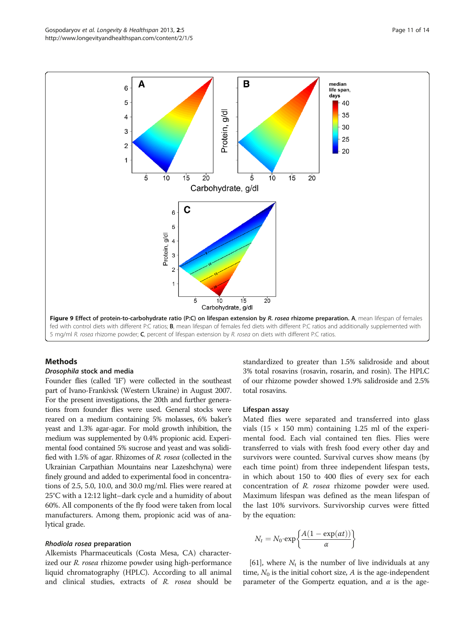#### Drosophila stock and media

Founder flies (called 'IF') were collected in the southeast part of Ivano-Frankivsk (Western Ukraine) in August 2007. For the present investigations, the 20th and further generations from founder flies were used. General stocks were reared on a medium containing 5% molasses, 6% baker's yeast and 1.3% agar-agar. For mold growth inhibition, the medium was supplemented by 0.4% propionic acid. Experimental food contained 5% sucrose and yeast and was solidified with 1.5% of agar. Rhizomes of R. rosea (collected in the Ukrainian Carpathian Mountains near Lazeshchyna) were finely ground and added to experimental food in concentrations of 2.5, 5.0, 10.0, and 30.0 mg/ml. Flies were reared at 25°C with a 12:12 light–dark cycle and a humidity of about 60%. All components of the fly food were taken from local manufacturers. Among them, propionic acid was of analytical grade.

#### Rhodiola rosea preparation

Alkemists Pharmaceuticals (Costa Mesa, CA) characterized our *R. rosea* rhizome powder using high-performance liquid chromatography (HPLC). According to all animal and clinical studies, extracts of R. rosea should be standardized to greater than 1.5% salidroside and about 3% total rosavins (rosavin, rosarin, and rosin). The HPLC of our rhizome powder showed 1.9% salidroside and 2.5% total rosavins.

#### Lifespan assay

Mated flies were separated and transferred into glass vials (15  $\times$  150 mm) containing 1.25 ml of the experimental food. Each vial contained ten flies. Flies were transferred to vials with fresh food every other day and survivors were counted. Survival curves show means (by each time point) from three independent lifespan tests, in which about 150 to 400 flies of every sex for each concentration of R. rosea rhizome powder were used. Maximum lifespan was defined as the mean lifespan of the last 10% survivors. Survivorship curves were fitted by the equation:

$$
N_t = N_0 \cdot \exp\left\{\frac{A(1 - \exp(\alpha t))}{\alpha}\right\}
$$

[[61](#page-13-0)], where  $N_t$  is the number of live individuals at any time,  $N_0$  is the initial cohort size, A is the age-independent parameter of the Gompertz equation, and  $\alpha$  is the age-

<span id="page-10-0"></span>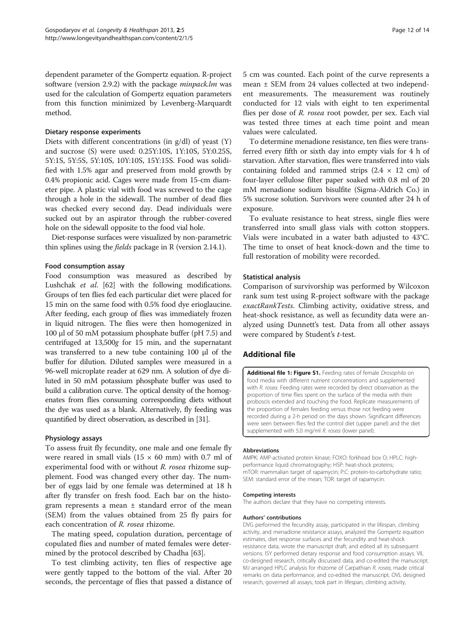<span id="page-11-0"></span>dependent parameter of the Gompertz equation. R-project software (version 2.9.2) with the package *minpack.lm* was used for the calculation of Gompertz equation parameters from this function minimized by Levenberg-Marquardt method.

#### Dietary response experiments

Diets with different concentrations (in g/dl) of yeast (Y) and sucrose (S) were used: 0.25Y:10S, 1Y:10S, 5Y:0.25S, 5Y:1S, 5Y:5S, 5Y:10S, 10Y:10S, 15Y:15S. Food was solidified with 1.5% agar and preserved from mold growth by 0.4% propionic acid. Cages were made from 15-cm diameter pipe. A plastic vial with food was screwed to the cage through a hole in the sidewall. The number of dead flies was checked every second day. Dead individuals were sucked out by an aspirator through the rubber-covered hole on the sidewall opposite to the food vial hole.

Diet-response surfaces were visualized by non-parametric thin splines using the fields package in R (version 2.14.1).

### Food consumption assay

Food consumption was measured as described by Lushchak et al. [\[62\]](#page-13-0) with the following modifications. Groups of ten flies fed each particular diet were placed for 15 min on the same food with 0.5% food dye erioglaucine. After feeding, each group of flies was immediately frozen in liquid nitrogen. The flies were then homogenized in 100 μl of 50 mM potassium phosphate buffer (pH 7.5) and centrifuged at 13,500g for 15 min, and the supernatant was transferred to a new tube containing 100 μl of the buffer for dilution. Diluted samples were measured in a 96-well microplate reader at 629 nm. A solution of dye diluted in 50 mM potassium phosphate buffer was used to build a calibration curve. The optical density of the homogenates from flies consuming corresponding diets without the dye was used as a blank. Alternatively, fly feeding was quantified by direct observation, as described in [\[31](#page-12-0)].

#### Physiology assays

To assess fruit fly fecundity, one male and one female fly were reared in small vials ( $15 \times 60$  mm) with 0.7 ml of experimental food with or without R. rosea rhizome supplement. Food was changed every other day. The number of eggs laid by one female was determined at 18 h after fly transfer on fresh food. Each bar on the histogram represents a mean  $\pm$  standard error of the mean (SEM) from the values obtained from 25 fly pairs for each concentration of R. rosea rhizome.

The mating speed, copulation duration, percentage of copulated flies and number of mated females were determined by the protocol described by Chadha [[63](#page-13-0)].

To test climbing activity, ten flies of respective age were gently tapped to the bottom of the vial. After 20 seconds, the percentage of flies that passed a distance of

5 cm was counted. Each point of the curve represents a mean ± SEM from 24 values collected at two independent measurements. The measurement was routinely conducted for 12 vials with eight to ten experimental flies per dose of R. rosea root powder, per sex. Each vial was tested three times at each time point and mean

To determine menadione resistance, ten flies were transferred every fifth or sixth day into empty vials for 4 h of starvation. After starvation, flies were transferred into vials containing folded and rammed strips  $(2.4 \times 12 \text{ cm})$  of four-layer cellulose filter paper soaked with 0.8 ml of 20 mM menadione sodium bisulfite (Sigma-Aldrich Co.) in 5% sucrose solution. Survivors were counted after 24 h of exposure.

To evaluate resistance to heat stress, single flies were transferred into small glass vials with cotton stoppers. Vials were incubated in a water bath adjusted to 43°C. The time to onset of heat knock-down and the time to full restoration of mobility were recorded.

### Statistical analysis

values were calculated.

Comparison of survivorship was performed by Wilcoxon rank sum test using R-project software with the package exactRankTests. Climbing activity, oxidative stress, and heat-shock resistance, as well as fecundity data were analyzed using Dunnett's test. Data from all other assays were compared by Student's t-test.

# Additional file

[Additional file 1: Figure S1.](http://www.biomedcentral.com/content/supplementary/2046-2395-2-5-S1.tiff) Feeding rates of female Drosophila on food media with different nutrient concentrations and supplemented with R. rosea. Feeding rates were recorded by direct observation as the proportion of time flies spent on the surface of the media with their proboscis extended and touching the food. Replicate measurements of the proportion of females feeding versus those not feeding were recorded during a 2-h period on the days shown. Significant differences were seen between flies fed the control diet (upper panel) and the diet supplemented with 5.0 mg/ml R. rosea (lower panel).

#### Abbreviations

AMPK: AMP-activated protein kinase; FOXO: forkhead box O; HPLC: highperformance liquid chromatography; HSP: heat-shock proteins; mTOR: mammalian target of rapamycin; P:C: protein-to-carbohydrate ratio; SEM: standard error of the mean; TOR: target of rapamycin.

#### Competing interests

The authors declare that they have no competing interests.

#### Authors' contributions

DVG performed the fecundity assay, participated in the lifespan, climbing activity, and menadione resistance assays, analyzed the Gompertz equation estimates, diet response surfaces and the fecundity and heat-shock resistance data, wrote the manuscript draft, and edited all its subsequent versions. ISY performed dietary response and food consumption assays. VIL co-designed research, critically discussed data, and co-edited the manuscript. MJ arranged HPLC analysis for rhizome of Carpathian R. rosea, made critical remarks on data performance, and co-edited the manuscript. OVL designed research, governed all assays, took part in lifespan, climbing activity,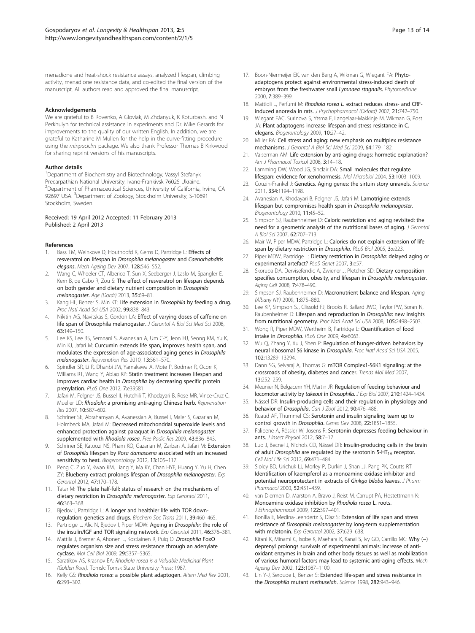<span id="page-12-0"></span>menadione and heat-shock resistance assays, analyzed lifespan, climbing activity, menadione resistance data, and co-edited the final version of the manuscript. All authors read and approved the final manuscript.

#### Acknowledgements

We are grateful to B Rovenko, A Gloviak, M Zhdanyuk, K Koturbash, and N Perkhulyn for technical assistance in experiments and Dr. Mike Gerards for improvements to the quality of our written English. In addition, we are grateful to Katharine M Mullen for the help in the curve-fitting procedure using the minpack.lm package. We also thank Professor Thomas B Kirkwood for sharing reprint versions of his manuscripts.

#### Author details

<sup>1</sup>Department of Biochemistry and Biotechnology, Vassyl Stefanyk Precarpathian National University, Ivano-Frankivsk 76025 Ukraine. <sup>2</sup>Department of Pharmaceutical Sciences, University of California, Irvine, CA 92697 USA. <sup>3</sup>Department of Zoology, Stockholm University, S-10691 Stockholm, Sweden.

#### Received: 19 April 2012 Accepted: 11 February 2013 Published: 2 April 2013

#### References

- Bass TM, Weinkove D, Houthoofd K, Gems D, Partridge L: Effects of resveratrol on lifespan in Drosophila melanogaster and Caenorhabditis elegans. Mech Ageing Dev 2007, 128:546–552.
- 2. Wang C, Wheeler CT, Alberico T, Sun X, Seeberger J, Laslo M, Spangler E, Kern B, de Cabo R, Zou S: The effect of resveratrol on lifespan depends on both gender and dietary nutrient composition in Drosophila melanogaster. Age (Dordr) 2013, 35:69–81.
- 3. Kang HL, Benzer S, Min KT: Life extension in Drosophila by feeding a drug. Proc Natl Acad Sci USA 2002, 99:838–843.
- 4. Nikitin AG, Navitskas S, Gordon LA: Effect of varying doses of caffeine on life span of Drosophila melanogaster. J Gerontol A Biol Sci Med Sci 2008, 63:149–150.
- 5. Lee KS, Lee BS, Semnani S, Avanesian A, Um C-Y, Jeon HJ, Seong KM, Yu K, Min KJ, Jafari M: Curcumin extends life span, improves health span, and modulates the expression of age-associated aging genes in Drosophila melanogaster. Rejuvenation Res 2010, 13:561–570.
- 6. Spindler SR, Li R, Dhahbi JM, Yamakawa A, Mote P, Bodmer R, Ocorr K, Williams RT, Wang Y, Ablao KP: Statin treatment increases lifespan and improves cardiac health in Drosophila by decreasing specific protein prenylation. PLoS One 2012, 7:e39581.
- 7. Jafari M, Felgner JS, Bussel II, Hutchili T, Khodayari B, Rose MR, Vince-Cruz C, Mueller LD: Rhodiola: a promising anti-aging Chinese herb. Rejuvenation Res 2007, 10:587–602.
- Schriner SE, Abrahamyan A, Avanessian A, Bussel I, Maler S, Gazarian M, Holmbeck MA, Jafari M: Decreased mitochondrial superoxide levels and enhanced protection against paraquat in Drosophila melanogaster supplemented with Rhodiola rosea. Free Radic Res 2009, 43:836–843.
- 9. Schriner SE, Katoozi NS, Pham KQ, Gazarian M, Zarban A, Jafari M: Extension of Drosophila lifespan by Rosa damascena associated with an increased sensitivity to heat. Biogerontology 2012, 13:105-117.
- 10. Peng C, Zuo Y, Kwan KM, Liang Y, Ma KY, Chan HYE, Huang Y, Yu H, Chen ZY: Blueberry extract prolongs lifespan of Drosophila melanogaster. Exp Gerontol 2012, 47:170–178.
- 11. Tatar M: The plate half-full: status of research on the mechanisms of dietary restriction in Drosophila melanogaster. Exp Gerontol 2011, 46:363–368.
- 12. Bjedov I, Partridge L: A longer and healthier life with TOR downregulation: genetics and drugs. Biochem Soc Trans 2011, 39:460–465.
- 13. Partridge L, Alic N, Bjedov I, Piper MDW: Ageing in Drosophila: the role of the insulin/IGF and TOR signaling network. Exp Gerontol 2011, 46:376–381.
- 14. Mattila J, Bremer A, Ahonen L, Kostiainen R, Puig O: Drosophila FoxO regulates organism size and stress resistance through an adenylate cyclase. Mol Cell Biol 2009, 29:5357–5365.
- Saratikov AS, Krasnov EA: Rhodiola rosea is a Valuable Medicinal Plant (Golden Root). Tomsk: Tomsk State University Press; 1987.
- 16. Kelly GS: Rhodiola rosea: a possible plant adaptogen. Altern Med Rev 2001, 6:293–302.
- 17. Boon-Niermeijer EK, van den Berg A, Wikman G, Wiegant FA: Phytoadaptogens protect against environmental stress-induced death of embryos from the freshwater snail Lymnaea stagnalis. Phytomedicine 2000, 7:389–399.
- 18. Mattioli L, Perfumi M: Rhodiola rosea L, extract reduces stress- and CRFinduced anorexia in rats. J Psychopharmacol (Oxford) 2007, 21:742–750.
- 19. Wiegant FAC, Surinova S, Ytsma E, Langelaar-Makkinje M, Wikman G, Post JA: Plant adaptogens increase lifespan and stress resistance in C. elegans. Biogerontology 2009, 10:27–42.
- 20. Miller RA: Cell stress and aging: new emphasis on multiplex resistance mechanisms. J Gerontol A Biol Sci Med Sci 2009, 64:179-182.
- 21. Vaiserman AM: Life extension by anti-aging drugs: hormetic explanation? Am J Pharmacol Toxicol 2008, 3:14-18.
- 22. Lamming DW, Wood JG, Sinclair DA: Small molecules that regulate lifespan: evidence for xenohormesis. Mol Microbiol 2004, 53:1003–1009.
- 23. Couzin-Frankel J: Genetics. Aging genes: the sirtuin story unravels. Science 2011, 334:1194–1198.
- 24. Avanesian A, Khodayari B, Felgner JS, Jafari M: Lamotrigine extends lifespan but compromises health span in Drosophila melanogaster. Biogerontology 2010, 11:45–52.
- 25. Simpson SJ, Raubenheimer D: Caloric restriction and aging revisited: the need for a geometric analysis of the nutritional bases of aging. J Gerontol A Biol Sci 2007, 62:707–713.
- 26. Mair W, Piper MDW, Partridge L: Calories do not explain extension of life span by dietary restriction in Drosophila. PLoS Biol 2005, 3:e223.
- 27. Piper MDW, Partridge L: Dietary restriction in Drosophila: delayed aging or experimental artefact? PLoS Genet 2007, 3:e57.
- 28. Skorupa DA, Dervisefendic A, Zwiener J, Pletcher SD: Dietary composition specifies consumption, obesity, and lifespan in Drosophila melanogaster. Agina Cell 2008, 7:478-490.
- 29. Simpson SJ, Raubenheimer D: Macronutrient balance and lifespan. Aging (Albany NY) 2009, 1:875–880.
- 30. Lee KP, Simpson SJ, Clissold FJ, Brooks R, Ballard JWO, Taylor PW, Soran N, Raubenheimer D: Lifespan and reproduction in Drosophila: new insights from nutritional geometry. Proc Natl Acad Sci USA 2008, 105:2498–2503.
- 31. Wong R, Piper MDW, Wertheim B, Partridge L: Quantification of food intake in Drosophila. PLoS One 2009, 4:e6063.
- 32. Wu Q, Zhang Y, Xu J, Shen P: Regulation of hunger-driven behaviors by neural ribosomal S6 kinase in Drosophila. Proc Natl Acad Sci USA 2005, 102:13289–13294.
- 33. Dann SG, Selvaraj A, Thomas G: mTOR Complex1-S6K1 signaling: at the crossroads of obesity, diabetes and cancer. Trends Mol Med 2007, 13:252–259.
- 34. Meunier N, Belgacem YH, Martin JR: Regulation of feeding behaviour and locomotor activity by takeout in Drosophila. J Exp Biol 2007, 210:1424-1434.
- 35. Nässel DR: Insulin-producing cells and their regulation in physiology and behavior of Drosophila. Can J Zool 2012, 90:476-488.
- 36. Ruaud AF, Thummel CS: Serotonin and insulin signaling team up to control growth in Drosophila. Genes Dev 2008, 22:1851–1855.
- 37. Falibene A, Rössler W, Josens R: Serotonin depresses feeding behaviour in ants. J Insect Physiol 2012, 58:7-17.
- 38. Luo J, Becnel J, Nichols CD, Nässel DR: Insulin-producing cells in the brain of adult Drosophila are regulated by the serotonin 5-HT<sub>1A</sub> receptor. Cell Mol Life Sci 2012, 69:471-484.
- 39. Sloley BD, Urichuk LJ, Morley P, Durkin J, Shan JJ, Pang PK, Coutts RT: Identification of kaempferol as a monoamine oxidase inhibitor and potential neuroprotectant in extracts of Ginkgo biloba leaves. J Pharm Pharmacol 2000, 52:451–459.
- 40. van Diermen D, Marston A, Bravo J, Reist M, Carrupt PA, Hostettmann K: Monoamine oxidase inhibition by Rhodiola rosea L. roots. J Ethnopharmacol 2009, 122:397–401.
- 41. Bonilla E, Medina-Leendertz S, Díaz S: Extension of life span and stress resistance of Drosophila melanogaster by long-term supplementation with melatonin. Exp Gerontol 2002, 37:629–638.
- 42. Kitani K, Minami C, Isobe K, Maehara K, Kanai S, Ivy GO, Carrillo MC: Why (−) deprenyl prolongs survivals of experimental animals: increase of antioxidant enzymes in brain and other body tissues as well as mobilization of various humoral factors may lead to systemic anti-aging effects. Mech Ageing Dev 2002, 123:1087–1100.
- 43. Lin Y-J, Seroude L, Benzer S: Extended life-span and stress resistance in the Drosophila mutant methuselah. Science 1998, 282:943–946.